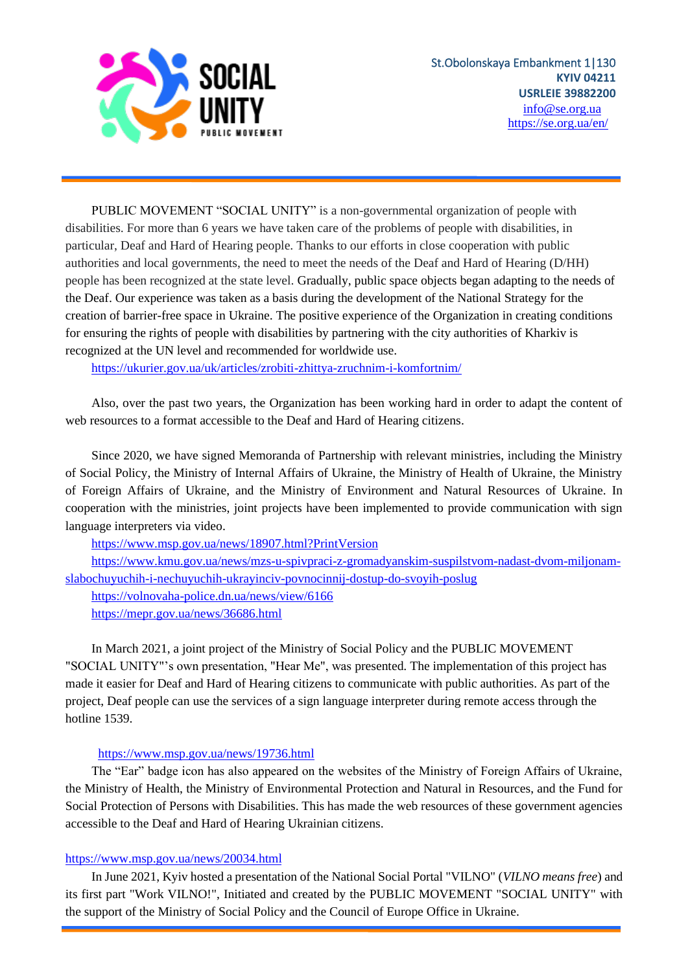

PUBLIC MOVEMENT "SOCIAL UNITY" is a non-governmental organization of people with disabilities. For more than 6 years we have taken care of the problems of people with disabilities, in particular, Deaf and Hard of Hearing people. Thanks to our efforts in close cooperation with public authorities and local governments, the need to meet the needs of the Deaf and Hard of Hearing (D/HH) people has been recognized at the state level. Gradually, public space objects began adapting to the needs of the Deaf. Our experience was taken as a basis during the development of the National Strategy for the creation of barrier-free space in Ukraine. The positive experience of the Organization in creating conditions for ensuring the rights of people with disabilities by partnering with the city authorities of Kharkiv is recognized at the UN level and recommended for worldwide use.

<https://ukurier.gov.ua/uk/articles/zrobiti-zhittya-zruchnim-i-komfortnim/>

Also, over the past two years, the Organization has been working hard in order to adapt the content of web resources to a format accessible to the Deaf and Hard of Hearing citizens.

Since 2020, we have signed Memoranda of Partnership with relevant ministries, including the Ministry of Social Policy, the Ministry of Internal Affairs of Ukraine, the Ministry of Health of Ukraine, the Ministry of Foreign Affairs of Ukraine, and the Ministry of Environment and Natural Resources of Ukraine. In cooperation with the ministries, joint projects have been implemented to provide communication with sign language interpreters via video.

<https://www.msp.gov.ua/news/18907.html?PrintVersion>

[https://www.kmu.gov.ua/news/mzs-u-spivpraci-z-gromadyanskim-suspilstvom-nadast-dvom-miljonam](https://www.kmu.gov.ua/news/mzs-u-spivpraci-z-gromadyanskim-suspilstvom-nadast-dvom-miljonam-slabochuyuchih-i-nechuyuchih-ukrayinciv-povnocinnij-dostup-do-svoyih-poslug)[slabochuyuchih-i-nechuyuchih-ukrayinciv-povnocinnij-dostup-do-svoyih-poslug](https://www.kmu.gov.ua/news/mzs-u-spivpraci-z-gromadyanskim-suspilstvom-nadast-dvom-miljonam-slabochuyuchih-i-nechuyuchih-ukrayinciv-povnocinnij-dostup-do-svoyih-poslug)

<https://volnovaha-police.dn.ua/news/view/6166> <https://mepr.gov.ua/news/36686.html>

In March 2021, a joint project of the Ministry of Social Policy and the PUBLIC MOVEMENT "SOCIAL UNITY"'s own presentation, "Hear Me", was presented. The implementation of this project has made it easier for Deaf and Hard of Hearing citizens to communicate with public authorities. As part of the project, Deaf people can use the services of a sign language interpreter during remote access through the hotline 1539.

## <https://www.msp.gov.ua/news/19736.html>

The "Еar" badge icon has also appeared on the websites of the Ministry of Foreign Affairs of Ukraine, the Ministry of Health, the Ministry of Environmental Protection and Natural in Resources, and the Fund for Social Protection of Persons with Disabilities. This has made the web resources of these government agencies accessible to the Deaf and Hard of Hearing Ukrainian citizens.

## <https://www.msp.gov.ua/news/20034.html>

In June 2021, Kyiv hosted a presentation of the National Social Portal "VILNO" (*VILNO means free*) and its first part "Work VILNO!", Initiated and created by the PUBLIC MOVEMENT "SOCIAL UNITY" with the support of the Ministry of Social Policy and the Council of Europe Office in Ukraine.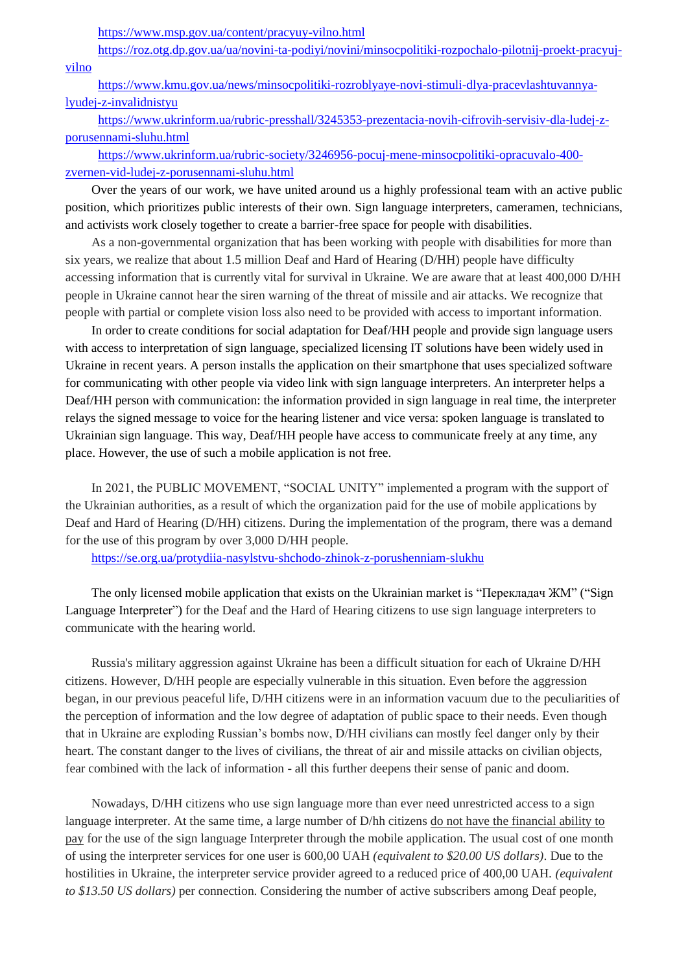<https://www.msp.gov.ua/content/pracyuy-vilno.html>

[https://roz.otg.dp.gov.ua/ua/novini-ta-podiyi/novini/minsocpolitiki-rozpochalo-pilotnij-proekt-pracyuj-](https://roz.otg.dp.gov.ua/ua/novini-ta-podiyi/novini/minsocpolitiki-rozpochalo-pilotnij-proekt-pracyuj-vilno)

[vilno](https://roz.otg.dp.gov.ua/ua/novini-ta-podiyi/novini/minsocpolitiki-rozpochalo-pilotnij-proekt-pracyuj-vilno)

[https://www.kmu.gov.ua/news/minsocpolitiki-rozroblyaye-novi-stimuli-dlya-pracevlashtuvannya](https://www.kmu.gov.ua/news/minsocpolitiki-rozroblyaye-novi-stimuli-dlya-pracevlashtuvannya-lyudej-z-invalidnistyu)[lyudej-z-invalidnistyu](https://www.kmu.gov.ua/news/minsocpolitiki-rozroblyaye-novi-stimuli-dlya-pracevlashtuvannya-lyudej-z-invalidnistyu)

[https://www.ukrinform.ua/rubric-presshall/3245353-prezentacia-novih-cifrovih-servisiv-dla-ludej-z](https://www.ukrinform.ua/rubric-presshall/3245353-prezentacia-novih-cifrovih-servisiv-dla-ludej-z-porusennami-sluhu.html)[porusennami-sluhu.html](https://www.ukrinform.ua/rubric-presshall/3245353-prezentacia-novih-cifrovih-servisiv-dla-ludej-z-porusennami-sluhu.html)

[https://www.ukrinform.ua/rubric-society/3246956-pocuj-mene-minsocpolitiki-opracuvalo-400](https://www.ukrinform.ua/rubric-society/3246956-pocuj-mene-minsocpolitiki-opracuvalo-400-zvernen-vid-ludej-z-porusennami-sluhu.html) [zvernen-vid-ludej-z-porusennami-sluhu.html](https://www.ukrinform.ua/rubric-society/3246956-pocuj-mene-minsocpolitiki-opracuvalo-400-zvernen-vid-ludej-z-porusennami-sluhu.html)

Over the years of our work, we have united around us a highly professional team with an active public position, which prioritizes public interests of their own. Sign language interpreters, cameramen, technicians, and activists work closely together to create a barrier-free space for people with disabilities.

As a non-governmental organization that has been working with people with disabilities for more than six years, we realize that about 1.5 million Deaf and Hard of Hearing (D/HH) people have difficulty accessing information that is currently vital for survival in Ukraine. We are aware that at least 400,000 D/HH people in Ukraine cannot hear the siren warning of the threat of missile and air attacks. We recognize that people with partial or complete vision loss also need to be provided with access to important information.

In order to create conditions for social adaptation for Deaf/HH people and provide sign language users with access to interpretation of sign language, specialized licensing IT solutions have been widely used in Ukraine in recent years. A person installs the application on their smartphone that uses specialized software for communicating with other people via video link with sign language interpreters. An interpreter helps a Deaf/HH person with communication: the information provided in sign language in real time, the interpreter relays the signed message to voice for the hearing listener and vice versa: spoken language is translated to Ukrainian sign language. This way, Deaf/HH people have access to communicate freely at any time, any place. However, the use of such a mobile application is not free.

In 2021, the PUBLIC MOVEMENT, "SOCIAL UNITY" implemented a program with the support of the Ukrainian authorities, as a result of which the organization paid for the use of mobile applications by Deaf and Hard of Hearing (D/HH) citizens. During the implementation of the program, there was a demand for the use of this program by over 3,000 D/HH people.

<https://se.org.ua/protydiia-nasylstvu-shchodo-zhinok-z-porushenniam-slukhu>

The only licensed mobile application that exists on the Ukrainian market is "Перекладач ЖМ" ("Sign Language Interpreter") for the Deaf and the Hard of Hearing citizens to use sign language interpreters to communicate with the hearing world.

Russia's military aggression against Ukraine has been a difficult situation for each of Ukraine D/HH citizens. However, D/HH people are especially vulnerable in this situation. Even before the aggression began, in our previous peaceful life, D/HH citizens were in an information vacuum due to the peculiarities of the perception of information and the low degree of adaptation of public space to their needs. Even though that in Ukraine are exploding Russian's bombs now, D/HH civilians can mostly feel danger only by their heart. The constant danger to the lives of civilians, the threat of air and missile attacks on civilian objects, fear combined with the lack of information - all this further deepens their sense of panic and doom.

Nowadays, D/HH citizens who use sign language more than ever need unrestricted access to a sign language interpreter. At the same time, a large number of D/hh citizens do not have the financial ability to pay for the use of the sign language Interpreter through the mobile application. The usual cost of one month of using the interpreter services for one user is 600,00 UAH *(equivalent to \$20.00 US dollars)*. Due to the hostilities in Ukraine, the interpreter service provider agreed to a reduced price of 400,00 UAH. *(equivalent to \$13.50 US dollars)* per connection. Considering the number of active subscribers among Deaf people,